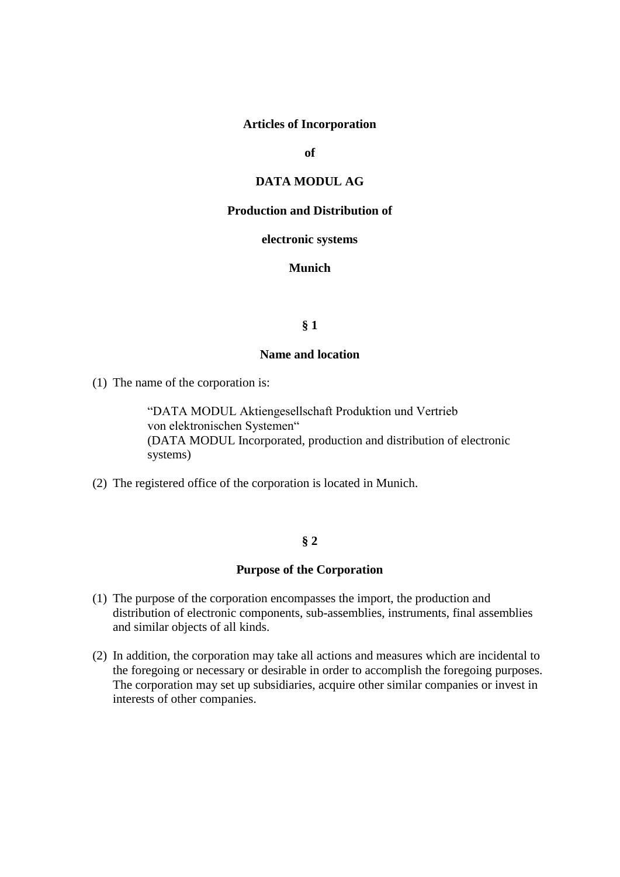## **Articles of Incorporation**

**of**

# **DATA MODUL AG**

### **Production and Distribution of**

#### **electronic systems**

# **Munich**

## **§ 1**

### **Name and location**

(1) The name of the corporation is:

"DATA MODUL Aktiengesellschaft Produktion und Vertrieb von elektronischen Systemen" (DATA MODUL Incorporated, production and distribution of electronic systems)

(2) The registered office of the corporation is located in Munich.

### **§ 2**

### **Purpose of the Corporation**

- (1) The purpose of the corporation encompasses the import, the production and distribution of electronic components, sub-assemblies, instruments, final assemblies and similar objects of all kinds.
- (2) In addition, the corporation may take all actions and measures which are incidental to the foregoing or necessary or desirable in order to accomplish the foregoing purposes. The corporation may set up subsidiaries, acquire other similar companies or invest in interests of other companies.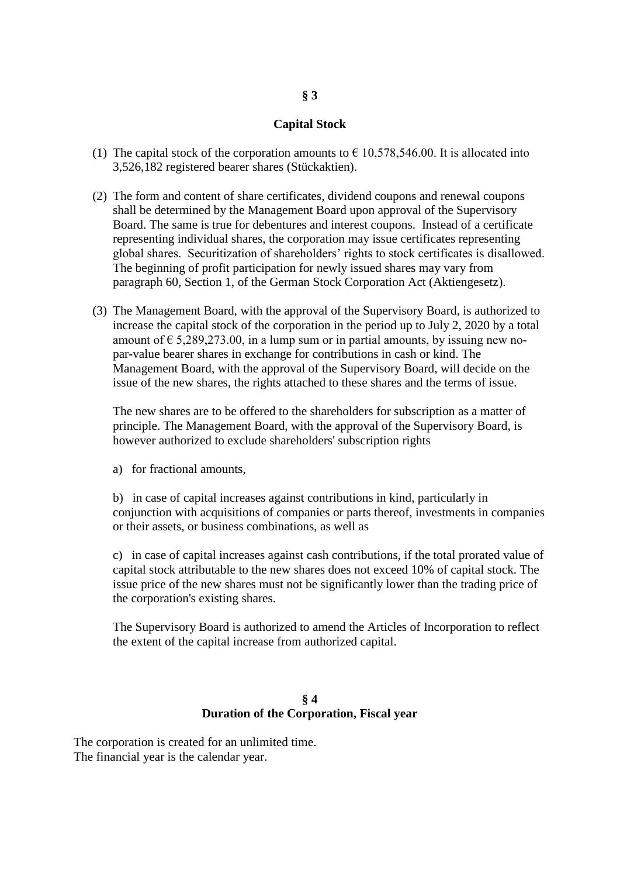# **Capital Stock**

- (1) The capital stock of the corporation amounts to  $\epsilon$  10,578,546.00. It is allocated into 3,526,182 registered bearer shares (Stückaktien).
- (2) The form and content of share certificates, dividend coupons and renewal coupons shall be determined by the Management Board upon approval of the Supervisory Board. The same is true for debentures and interest coupons. Instead of a certificate representing individual shares, the corporation may issue certificates representing global shares. Securitization of shareholders' rights to stock certificates is disallowed. The beginning of profit participation for newly issued shares may vary from paragraph 60, Section 1, of the German Stock Corporation Act (Aktiengesetz).
- (3) The Management Board, with the approval of the Supervisory Board, is authorized to increase the capital stock of the corporation in the period up to July 2, 2020 by a total amount of  $\epsilon$  5,289,273.00, in a lump sum or in partial amounts, by issuing new nopar-value bearer shares in exchange for contributions in cash or kind. The Management Board, with the approval of the Supervisory Board, will decide on the issue of the new shares, the rights attached to these shares and the terms of issue.

The new shares are to be offered to the shareholders for subscription as a matter of principle. The Management Board, with the approval of the Supervisory Board, is however authorized to exclude shareholders' subscription rights

a) for fractional amounts,

b) in case of capital increases against contributions in kind, particularly in conjunction with acquisitions of companies or parts thereof, investments in companies or their assets, or business combinations, as well as

c) in case of capital increases against cash contributions, if the total prorated value of capital stock attributable to the new shares does not exceed 10% of capital stock. The issue price of the new shares must not be significantly lower than the trading price of the corporation's existing shares.

The Supervisory Board is authorized to amend the Articles of Incorporation to reflect the extent of the capital increase from authorized capital.

### **§ 4 Duration of the Corporation, Fiscal year**

The corporation is created for an unlimited time. The financial year is the calendar year.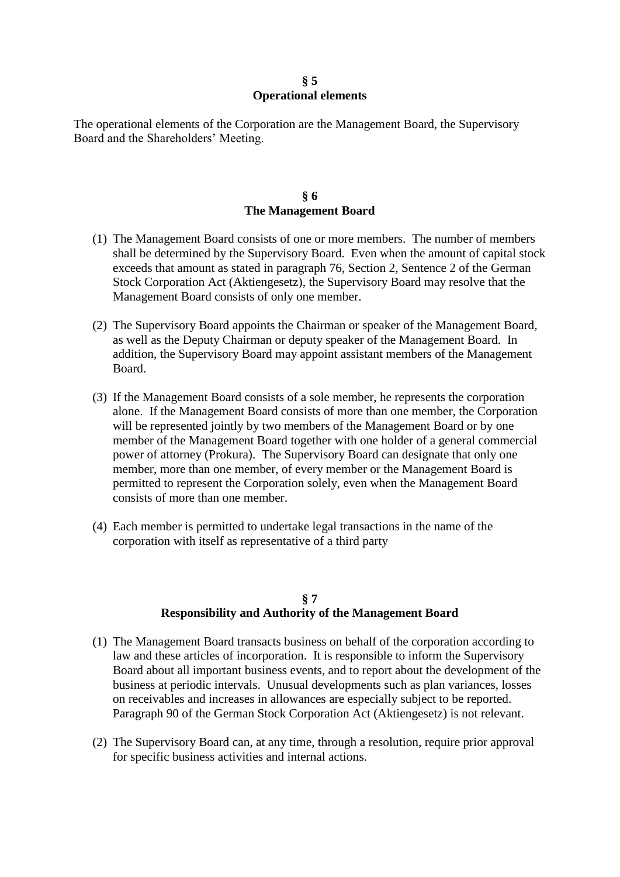## **§ 5 Operational elements**

The operational elements of the Corporation are the Management Board, the Supervisory Board and the Shareholders' Meeting.

## **§ 6 The Management Board**

- (1) The Management Board consists of one or more members. The number of members shall be determined by the Supervisory Board. Even when the amount of capital stock exceeds that amount as stated in paragraph 76, Section 2, Sentence 2 of the German Stock Corporation Act (Aktiengesetz), the Supervisory Board may resolve that the Management Board consists of only one member.
- (2) The Supervisory Board appoints the Chairman or speaker of the Management Board, as well as the Deputy Chairman or deputy speaker of the Management Board. In addition, the Supervisory Board may appoint assistant members of the Management Board.
- (3) If the Management Board consists of a sole member, he represents the corporation alone. If the Management Board consists of more than one member, the Corporation will be represented jointly by two members of the Management Board or by one member of the Management Board together with one holder of a general commercial power of attorney (Prokura). The Supervisory Board can designate that only one member, more than one member, of every member or the Management Board is permitted to represent the Corporation solely, even when the Management Board consists of more than one member.
- (4) Each member is permitted to undertake legal transactions in the name of the corporation with itself as representative of a third party

# **§ 7 Responsibility and Authority of the Management Board**

- (1) The Management Board transacts business on behalf of the corporation according to law and these articles of incorporation. It is responsible to inform the Supervisory Board about all important business events, and to report about the development of the business at periodic intervals. Unusual developments such as plan variances, losses on receivables and increases in allowances are especially subject to be reported. Paragraph 90 of the German Stock Corporation Act (Aktiengesetz) is not relevant.
- (2) The Supervisory Board can, at any time, through a resolution, require prior approval for specific business activities and internal actions.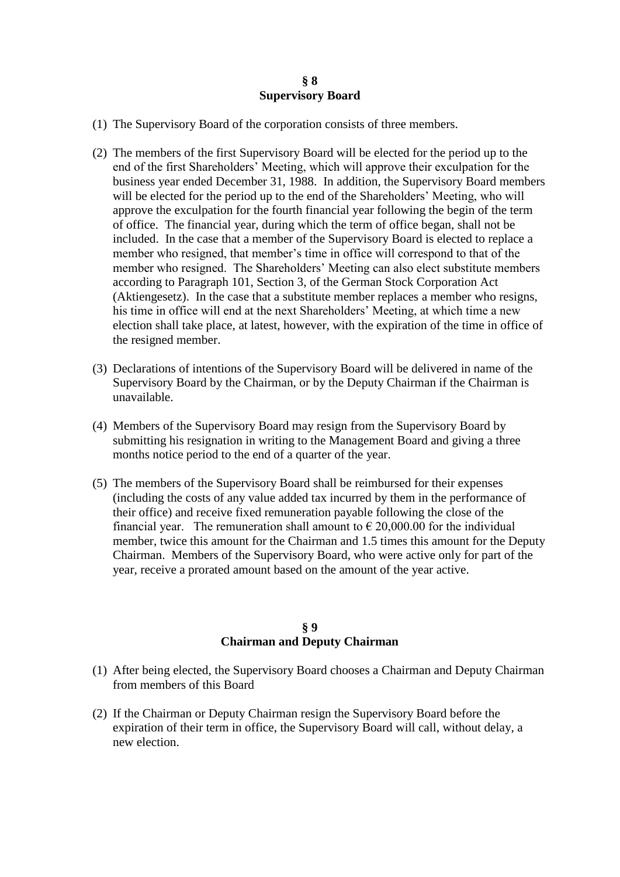### **§ 8 Supervisory Board**

- (1) The Supervisory Board of the corporation consists of three members.
- (2) The members of the first Supervisory Board will be elected for the period up to the end of the first Shareholders' Meeting, which will approve their exculpation for the business year ended December 31, 1988. In addition, the Supervisory Board members will be elected for the period up to the end of the Shareholders' Meeting, who will approve the exculpation for the fourth financial year following the begin of the term of office. The financial year, during which the term of office began, shall not be included. In the case that a member of the Supervisory Board is elected to replace a member who resigned, that member's time in office will correspond to that of the member who resigned. The Shareholders' Meeting can also elect substitute members according to Paragraph 101, Section 3, of the German Stock Corporation Act (Aktiengesetz). In the case that a substitute member replaces a member who resigns, his time in office will end at the next Shareholders' Meeting, at which time a new election shall take place, at latest, however, with the expiration of the time in office of the resigned member.
- (3) Declarations of intentions of the Supervisory Board will be delivered in name of the Supervisory Board by the Chairman, or by the Deputy Chairman if the Chairman is unavailable.
- (4) Members of the Supervisory Board may resign from the Supervisory Board by submitting his resignation in writing to the Management Board and giving a three months notice period to the end of a quarter of the year.
- (5) The members of the Supervisory Board shall be reimbursed for their expenses (including the costs of any value added tax incurred by them in the performance of their office) and receive fixed remuneration payable following the close of the financial year. The remuneration shall amount to  $\epsilon$  20,000.00 for the individual member, twice this amount for the Chairman and 1.5 times this amount for the Deputy Chairman. Members of the Supervisory Board, who were active only for part of the year, receive a prorated amount based on the amount of the year active.

## **§ 9 Chairman and Deputy Chairman**

- (1) After being elected, the Supervisory Board chooses a Chairman and Deputy Chairman from members of this Board
- (2) If the Chairman or Deputy Chairman resign the Supervisory Board before the expiration of their term in office, the Supervisory Board will call, without delay, a new election.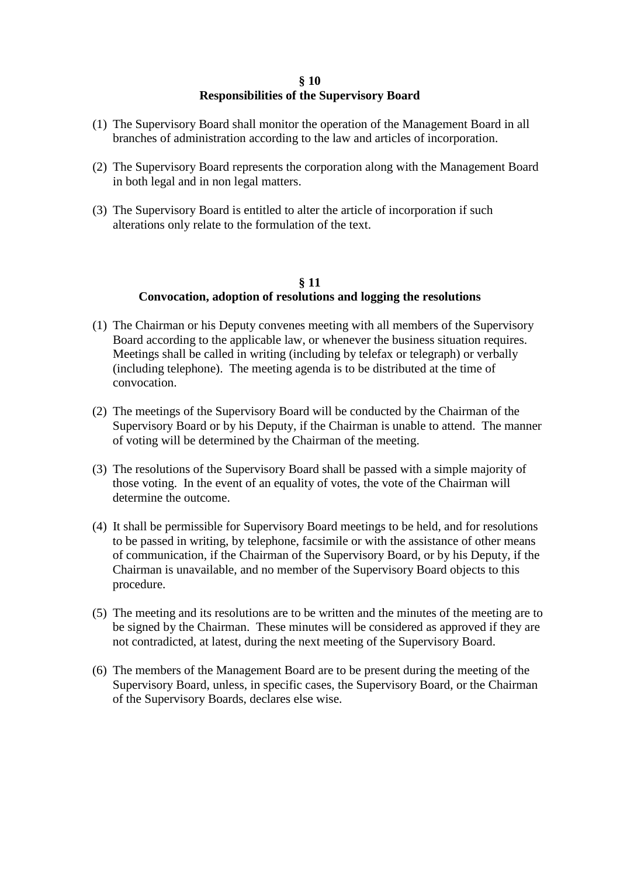## **§ 10 Responsibilities of the Supervisory Board**

- (1) The Supervisory Board shall monitor the operation of the Management Board in all branches of administration according to the law and articles of incorporation.
- (2) The Supervisory Board represents the corporation along with the Management Board in both legal and in non legal matters.
- (3) The Supervisory Board is entitled to alter the article of incorporation if such alterations only relate to the formulation of the text.

## **§ 11 Convocation, adoption of resolutions and logging the resolutions**

- (1) The Chairman or his Deputy convenes meeting with all members of the Supervisory Board according to the applicable law, or whenever the business situation requires. Meetings shall be called in writing (including by telefax or telegraph) or verbally (including telephone). The meeting agenda is to be distributed at the time of convocation.
- (2) The meetings of the Supervisory Board will be conducted by the Chairman of the Supervisory Board or by his Deputy, if the Chairman is unable to attend. The manner of voting will be determined by the Chairman of the meeting.
- (3) The resolutions of the Supervisory Board shall be passed with a simple majority of those voting. In the event of an equality of votes, the vote of the Chairman will determine the outcome.
- (4) It shall be permissible for Supervisory Board meetings to be held, and for resolutions to be passed in writing, by telephone, facsimile or with the assistance of other means of communication, if the Chairman of the Supervisory Board, or by his Deputy, if the Chairman is unavailable, and no member of the Supervisory Board objects to this procedure.
- (5) The meeting and its resolutions are to be written and the minutes of the meeting are to be signed by the Chairman. These minutes will be considered as approved if they are not contradicted, at latest, during the next meeting of the Supervisory Board.
- (6) The members of the Management Board are to be present during the meeting of the Supervisory Board, unless, in specific cases, the Supervisory Board, or the Chairman of the Supervisory Boards, declares else wise.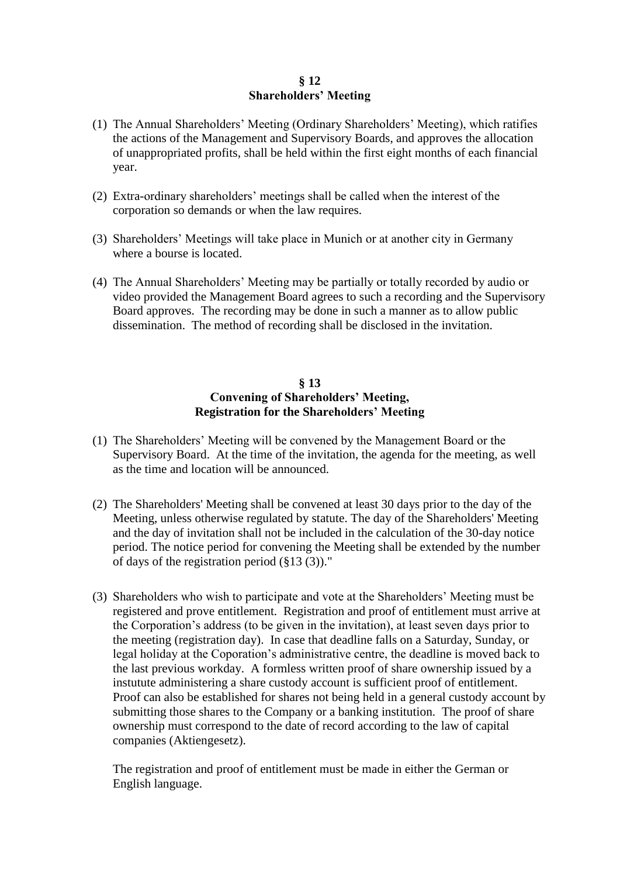## **§ 12 Shareholders' Meeting**

- (1) The Annual Shareholders' Meeting (Ordinary Shareholders' Meeting), which ratifies the actions of the Management and Supervisory Boards, and approves the allocation of unappropriated profits, shall be held within the first eight months of each financial year.
- (2) Extra-ordinary shareholders' meetings shall be called when the interest of the corporation so demands or when the law requires.
- (3) Shareholders' Meetings will take place in Munich or at another city in Germany where a bourse is located.
- (4) The Annual Shareholders' Meeting may be partially or totally recorded by audio or video provided the Management Board agrees to such a recording and the Supervisory Board approves. The recording may be done in such a manner as to allow public dissemination. The method of recording shall be disclosed in the invitation.

## **§ 13 Convening of Shareholders' Meeting, Registration for the Shareholders' Meeting**

- (1) The Shareholders' Meeting will be convened by the Management Board or the Supervisory Board. At the time of the invitation, the agenda for the meeting, as well as the time and location will be announced.
- (2) The Shareholders' Meeting shall be convened at least 30 days prior to the day of the Meeting, unless otherwise regulated by statute. The day of the Shareholders' Meeting and the day of invitation shall not be included in the calculation of the 30-day notice period. The notice period for convening the Meeting shall be extended by the number of days of the registration period (§13 (3))."
- (3) Shareholders who wish to participate and vote at the Shareholders' Meeting must be registered and prove entitlement. Registration and proof of entitlement must arrive at the Corporation's address (to be given in the invitation), at least seven days prior to the meeting (registration day). In case that deadline falls on a Saturday, Sunday, or legal holiday at the Coporation's administrative centre, the deadline is moved back to the last previous workday. A formless written proof of share ownership issued by a instutute administering a share custody account is sufficient proof of entitlement. Proof can also be established for shares not being held in a general custody account by submitting those shares to the Company or a banking institution. The proof of share ownership must correspond to the date of record according to the law of capital companies (Aktiengesetz).

The registration and proof of entitlement must be made in either the German or English language.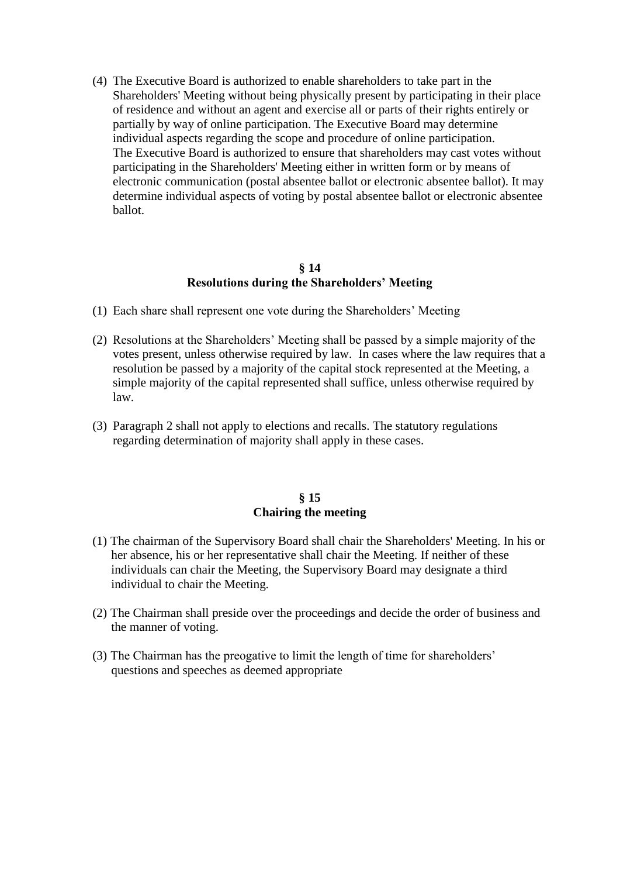(4) The Executive Board is authorized to enable shareholders to take part in the Shareholders' Meeting without being physically present by participating in their place of residence and without an agent and exercise all or parts of their rights entirely or partially by way of online participation. The Executive Board may determine individual aspects regarding the scope and procedure of online participation. The Executive Board is authorized to ensure that shareholders may cast votes without participating in the Shareholders' Meeting either in written form or by means of electronic communication (postal absentee ballot or electronic absentee ballot). It may determine individual aspects of voting by postal absentee ballot or electronic absentee ballot.

# **§ 14 Resolutions during the Shareholders' Meeting**

- (1) Each share shall represent one vote during the Shareholders' Meeting
- (2) Resolutions at the Shareholders' Meeting shall be passed by a simple majority of the votes present, unless otherwise required by law. In cases where the law requires that a resolution be passed by a majority of the capital stock represented at the Meeting, a simple majority of the capital represented shall suffice, unless otherwise required by law.
- (3) Paragraph 2 shall not apply to elections and recalls. The statutory regulations regarding determination of majority shall apply in these cases.

## **§ 15 Chairing the meeting**

- (1) The chairman of the Supervisory Board shall chair the Shareholders' Meeting. In his or her absence, his or her representative shall chair the Meeting. If neither of these individuals can chair the Meeting, the Supervisory Board may designate a third individual to chair the Meeting.
- (2) The Chairman shall preside over the proceedings and decide the order of business and the manner of voting.
- (3) The Chairman has the preogative to limit the length of time for shareholders' questions and speeches as deemed appropriate